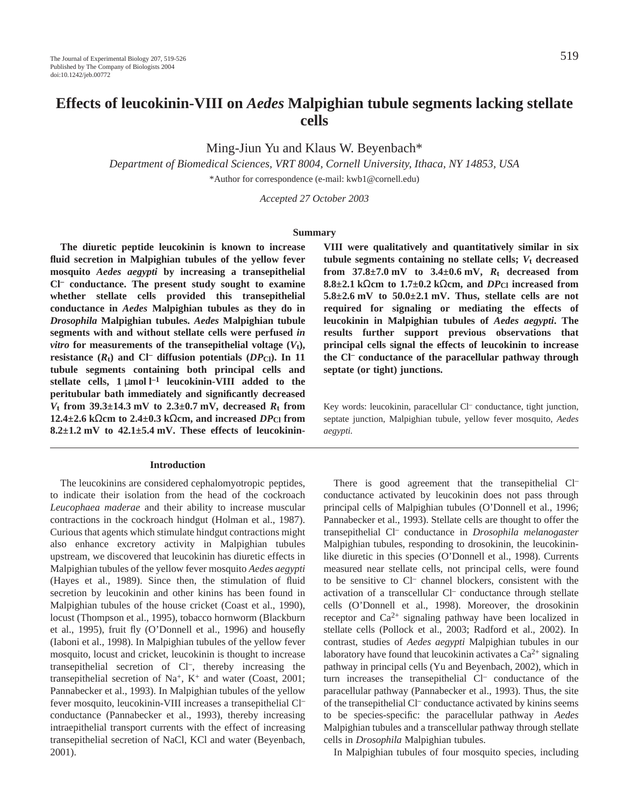Ming-Jiun Yu and Klaus W. Beyenbach\*

*Department of Biomedical Sciences, VRT 8004, Cornell University, Ithaca, NY 14853, USA*

\*Author for correspondence (e-mail: kwb1@cornell.edu)

*Accepted 27 October 2003*

## **Summary**

**The diuretic peptide leucokinin is known to increase fluid secretion in Malpighian tubules of the yellow fever mosquito** *Aedes aegypti* **by increasing a transepithelial Cl– conductance. The present study sought to examine whether stellate cells provided this transepithelial conductance in** *Aedes* **Malpighian tubules as they do in** *Drosophila* **Malpighian tubules.** *Aedes* **Malpighian tubule segments with and without stellate cells were perfused** *in vitro* for measurements of the transepithelial voltage  $(V_t)$ , **resistance**  $(R_t)$  and Cl<sup>–</sup> diffusion potentials  $(DP_C)$ . In 11 **tubule segments containing both principal cells and stellate cells, 1** μmol l<sup>-1</sup> leucokinin-VIII added to the **peritubular bath immediately and significantly decreased**  $V_t$  from 39.3 $\pm$ 14.3 mV to 2.3 $\pm$ 0.7 mV, decreased  $R_t$  from **12.4±2.6** kΩcm to 2.4±0.3 kΩcm, and increased  $DP_{Cl}$  from 8.2<sup> $\pm$ </sup>1.2 mV to 42.1 $\pm$ 5.4 mV. These effects of leucokinin-

### **Introduction**

The leucokinins are considered cephalomyotropic peptides, to indicate their isolation from the head of the cockroach *Leucophaea maderae* and their ability to increase muscular contractions in the cockroach hindgut (Holman et al., 1987). Curious that agents which stimulate hindgut contractions might also enhance excretory activity in Malpighian tubules upstream, we discovered that leucokinin has diuretic effects in Malpighian tubules of the yellow fever mosquito *Aedes aegypti* (Hayes et al., 1989). Since then, the stimulation of fluid secretion by leucokinin and other kinins has been found in Malpighian tubules of the house cricket (Coast et al., 1990), locust (Thompson et al., 1995), tobacco hornworm (Blackburn et al., 1995), fruit fly (O'Donnell et al., 1996) and housefly (Iaboni et al., 1998). In Malpighian tubules of the yellow fever mosquito, locust and cricket, leucokinin is thought to increase transepithelial secretion of Cl–, thereby increasing the transepithelial secretion of Na<sup>+</sup>, K<sup>+</sup> and water (Coast, 2001; Pannabecker et al., 1993). In Malpighian tubules of the yellow fever mosquito, leucokinin-VIII increases a transepithelial Cl– conductance (Pannabecker et al., 1993), thereby increasing intraepithelial transport currents with the effect of increasing transepithelial secretion of NaCl, KCl and water (Beyenbach, 2001).

**VIII were qualitatively and quantitatively similar in six tubule segments containing no stellate cells;** *V***t decreased** from  $37.8 \pm 7.0$  mV to  $3.4 \pm 0.6$  mV,  $R_t$  decreased from **8.8±2.1·k**Ω**cm to 1.7±0.2·k**Ω**cm, and** *DP***Cl increased from**  $5.8\pm2.6$  mV to  $50.0\pm2.1$  mV. Thus, stellate cells are not **required for signaling or mediating the effects of leucokinin in Malpighian tubules of** *Aedes aegypti***. The results further support previous observations that principal cells signal the effects of leucokinin to increase the Cl– conductance of the paracellular pathway through septate (or tight) junctions.**

Key words: leucokinin, paracellular Cl<sup>-</sup> conductance, tight junction, septate junction, Malpighian tubule, yellow fever mosquito, *Aedes aegypti.*

There is good agreement that the transepithelial Cl– conductance activated by leucokinin does not pass through principal cells of Malpighian tubules (O'Donnell et al., 1996; Pannabecker et al., 1993). Stellate cells are thought to offer the transepithelial Cl– conductance in *Drosophila melanogaster* Malpighian tubules, responding to drosokinin, the leucokininlike diuretic in this species (O'Donnell et al., 1998). Currents measured near stellate cells, not principal cells, were found to be sensitive to Cl– channel blockers, consistent with the activation of a transcellular Cl– conductance through stellate cells (O'Donnell et al., 1998). Moreover, the drosokinin receptor and  $Ca^{2+}$  signaling pathway have been localized in stellate cells (Pollock et al., 2003; Radford et al., 2002). In contrast, studies of *Aedes aegypti* Malpighian tubules in our laboratory have found that leucokinin activates a  $Ca^{2+}$  signaling pathway in principal cells (Yu and Beyenbach, 2002), which in turn increases the transepithelial Cl– conductance of the paracellular pathway (Pannabecker et al., 1993). Thus, the site of the transepithelial Cl– conductance activated by kinins seems to be species-specific: the paracellular pathway in *Aedes* Malpighian tubules and a transcellular pathway through stellate cells in *Drosophila* Malpighian tubules.

In Malpighian tubules of four mosquito species, including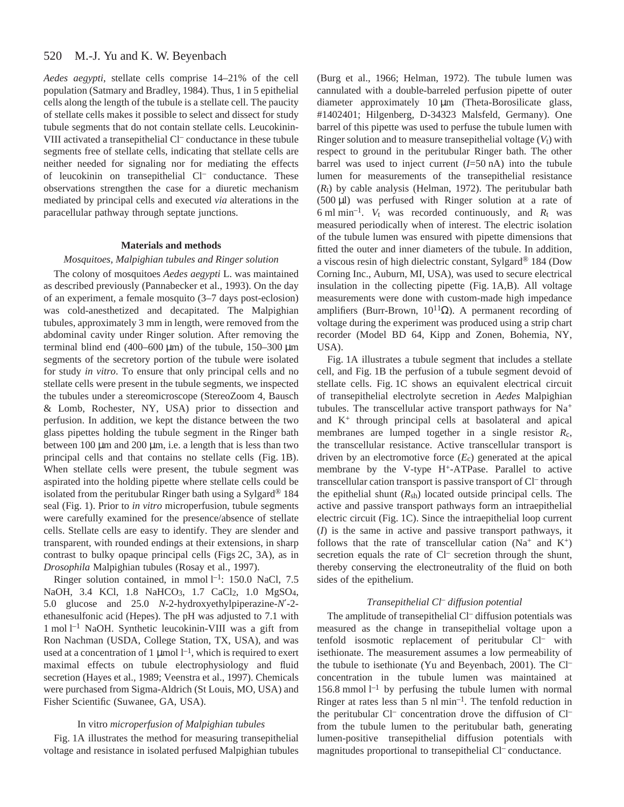#### 520 M.-J. Yu and K. W. Beyenbach

*Aedes aegypti*, stellate cells comprise 14–21% of the cell population (Satmary and Bradley, 1984). Thus, 1 in 5 epithelial cells along the length of the tubule is a stellate cell. The paucity of stellate cells makes it possible to select and dissect for study tubule segments that do not contain stellate cells. Leucokinin-VIII activated a transepithelial Cl– conductance in these tubule segments free of stellate cells, indicating that stellate cells are neither needed for signaling nor for mediating the effects of leucokinin on transepithelial Cl– conductance. These observations strengthen the case for a diuretic mechanism mediated by principal cells and executed *via* alterations in the paracellular pathway through septate junctions.

## **Materials and methods**

### *Mosquitoes, Malpighian tubules and Ringer solution*

The colony of mosquitoes *Aedes aegypti* L. was maintained as described previously (Pannabecker et al., 1993). On the day of an experiment, a female mosquito (3–7 days post-eclosion) was cold-anesthetized and decapitated. The Malpighian tubules, approximately 3 mm in length, were removed from the abdominal cavity under Ringer solution. After removing the terminal blind end  $(400-600 \,\mu m)$  of the tubule, 150-300  $\mu m$ segments of the secretory portion of the tubule were isolated for study *in vitro*. To ensure that only principal cells and no stellate cells were present in the tubule segments, we inspected the tubules under a stereomicroscope (StereoZoom 4, Bausch & Lomb, Rochester, NY, USA) prior to dissection and perfusion. In addition, we kept the distance between the two glass pipettes holding the tubule segment in the Ringer bath between 100  $\mu$ m and 200  $\mu$ m, i.e. a length that is less than two principal cells and that contains no stellate cells (Fig. 1B). When stellate cells were present, the tubule segment was aspirated into the holding pipette where stellate cells could be isolated from the peritubular Ringer bath using a Sylgard<sup>®</sup> 184 seal (Fig. 1). Prior to *in vitro* microperfusion, tubule segments were carefully examined for the presence/absence of stellate cells. Stellate cells are easy to identify. They are slender and transparent, with rounded endings at their extensions, in sharp contrast to bulky opaque principal cells (Figs 2C, 3A), as in *Drosophila* Malpighian tubules (Rosay et al., 1997).

Ringer solution contained, in mmol  $l^{-1}$ : 150.0 NaCl, 7.5 NaOH, 3.4 KCl, 1.8 NaHCO<sub>3</sub>, 1.7 CaCl<sub>2</sub>, 1.0 MgSO<sub>4</sub>, 5.0 glucose and 25.0 *N*-2-hydroxyethylpiperazine-*N*′-2 ethanesulfonic acid (Hepes). The pH was adjusted to 7.1 with 1 mol l<sup>-1</sup> NaOH. Synthetic leucokinin-VIII was a gift from Ron Nachman (USDA, College Station, TX, USA), and was used at a concentration of 1  $\mu$ mol  $l^{-1}$ , which is required to exert maximal effects on tubule electrophysiology and fluid secretion (Hayes et al., 1989; Veenstra et al., 1997). Chemicals were purchased from Sigma-Aldrich (St Louis, MO, USA) and Fisher Scientific (Suwanee, GA, USA).

## In vitro *microperfusion of Malpighian tubules*

Fig. 1A illustrates the method for measuring transepithelial voltage and resistance in isolated perfused Malpighian tubules

(Burg et al., 1966; Helman, 1972). The tubule lumen was cannulated with a double-barreled perfusion pipette of outer diameter approximately  $10 \mu m$  (Theta-Borosilicate glass, #1402401; Hilgenberg, D-34323 Malsfeld, Germany). One barrel of this pipette was used to perfuse the tubule lumen with Ringer solution and to measure transepithelial voltage  $(V_t)$  with respect to ground in the peritubular Ringer bath. The other barrel was used to inject current  $(I=50 \text{ nA})$  into the tubule lumen for measurements of the transepithelial resistance  $(R_t)$  by cable analysis (Helman, 1972). The peritubular bath  $(500 \,\mu\text{I})$  was perfused with Ringer solution at a rate of 6 ml min<sup>-1</sup>.  $V_t$  was recorded continuously, and  $R_t$  was measured periodically when of interest. The electric isolation of the tubule lumen was ensured with pipette dimensions that fitted the outer and inner diameters of the tubule. In addition, a viscous resin of high dielectric constant, Sylgard® 184 (Dow Corning Inc., Auburn, MI, USA), was used to secure electrical insulation in the collecting pipette (Fig. 1A,B). All voltage measurements were done with custom-made high impedance amplifiers (Burr-Brown,  $10^{11}Ω$ ). A permanent recording of voltage during the experiment was produced using a strip chart recorder (Model BD 64, Kipp and Zonen, Bohemia, NY, USA).

Fig. 1A illustrates a tubule segment that includes a stellate cell, and Fig. 1B the perfusion of a tubule segment devoid of stellate cells. Fig. 1C shows an equivalent electrical circuit of transepithelial electrolyte secretion in *Aedes* Malpighian tubules. The transcellular active transport pathways for Na+ and K+ through principal cells at basolateral and apical membranes are lumped together in a single resistor *R*c, the transcellular resistance. Active transcellular transport is driven by an electromotive force  $(E_c)$  generated at the apical membrane by the V-type H<sup>+</sup>-ATPase. Parallel to active transcellular cation transport is passive transport of Cl– through the epithelial shunt  $(R_{sh})$  located outside principal cells. The active and passive transport pathways form an intraepithelial electric circuit (Fig. 1C). Since the intraepithelial loop current (*I*) is the same in active and passive transport pathways, it follows that the rate of transcellular cation ( $Na^+$  and  $K^+$ ) secretion equals the rate of Cl<sup>-</sup> secretion through the shunt, thereby conserving the electroneutrality of the fluid on both sides of the epithelium.

### *Transepithelial Cl– diffusion potential*

The amplitude of transepithelial Cl<sup>-</sup> diffusion potentials was measured as the change in transepithelial voltage upon a tenfold isosmotic replacement of peritubular Cl<sup>-</sup> with isethionate. The measurement assumes a low permeability of the tubule to isethionate (Yu and Beyenbach, 2001). The Cl– concentration in the tubule lumen was maintained at 156.8 mmol  $l^{-1}$  by perfusing the tubule lumen with normal Ringer at rates less than  $5$  nl min<sup>-1</sup>. The tenfold reduction in the peritubular Cl<sup>-</sup> concentration drove the diffusion of Cl<sup>-</sup> from the tubule lumen to the peritubular bath, generating lumen-positive transepithelial diffusion potentials with magnitudes proportional to transepithelial Cl– conductance.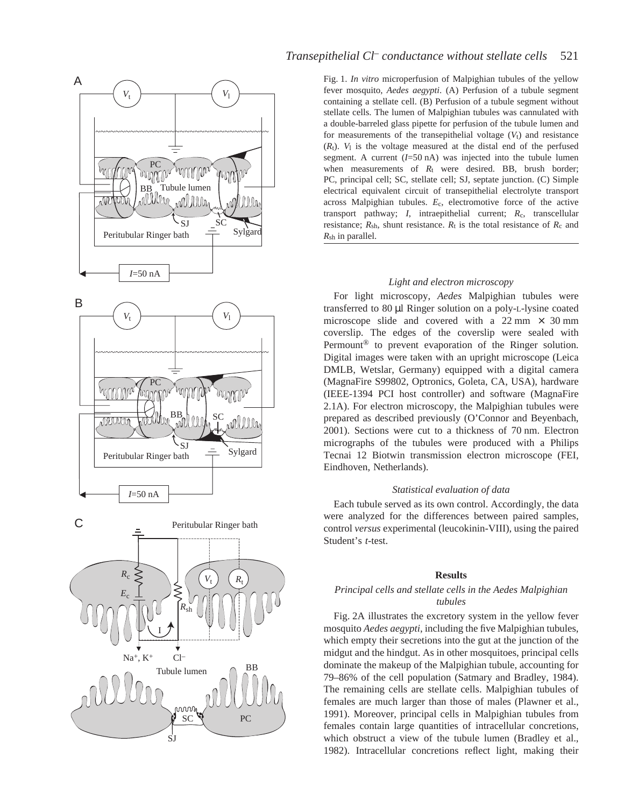

# *Transepithelial Cl<sup>-</sup> conductance without stellate cells* 521

Fig. 1. *In vitro* microperfusion of Malpighian tubules of the yellow fever mosquito, *Aedes aegypti*. (A) Perfusion of a tubule segment containing a stellate cell. (B) Perfusion of a tubule segment without stellate cells. The lumen of Malpighian tubules was cannulated with a double-barreled glass pipette for perfusion of the tubule lumen and for measurements of the transepithelial voltage  $(V<sub>t</sub>)$  and resistance  $(R_t)$ .  $V_1$  is the voltage measured at the distal end of the perfused segment. A current  $(I=50 \text{ nA})$  was injected into the tubule lumen when measurements of  $R_t$  were desired. BB, brush border; PC, principal cell; SC, stellate cell; SJ, septate junction. (C) Simple electrical equivalent circuit of transepithelial electrolyte transport across Malpighian tubules. *E*c, electromotive force of the active transport pathway; *I*, intraepithelial current; *R*c, transcellular resistance;  $R_{\rm sh}$ , shunt resistance.  $R_t$  is the total resistance of  $R_c$  and *R*sh in parallel.

## *Light and electron microscopy*

For light microscopy, *Aedes* Malpighian tubules were transferred to 80 µl Ringer solution on a poly-L-lysine coated microscope slide and covered with a  $22 \text{ mm} \times 30 \text{ mm}$ coverslip. The edges of the coverslip were sealed with Permount® to prevent evaporation of the Ringer solution. Digital images were taken with an upright microscope (Leica DMLB, Wetslar, Germany) equipped with a digital camera (MagnaFire S99802, Optronics, Goleta, CA, USA), hardware (IEEE-1394 PCI host controller) and software (MagnaFire 2.1A). For electron microscopy, the Malpighian tubules were prepared as described previously (O'Connor and Beyenbach, 2001). Sections were cut to a thickness of 70 nm. Electron micrographs of the tubules were produced with a Philips Tecnai 12 Biotwin transmission electron microscope (FEI, Eindhoven, Netherlands).

## *Statistical evaluation of data*

Each tubule served as its own control. Accordingly, the data were analyzed for the differences between paired samples, control *versus* experimental (leucokinin-VIII), using the paired Student's *t*-test.

#### **Results**

## *Principal cells and stellate cells in the Aedes Malpighian tubules*

Fig. 2A illustrates the excretory system in the yellow fever mosquito *Aedes aegypti*, including the five Malpighian tubules, which empty their secretions into the gut at the junction of the midgut and the hindgut. As in other mosquitoes, principal cells dominate the makeup of the Malpighian tubule, accounting for 79–86% of the cell population (Satmary and Bradley, 1984). The remaining cells are stellate cells. Malpighian tubules of females are much larger than those of males (Plawner et al., 1991). Moreover, principal cells in Malpighian tubules from females contain large quantities of intracellular concretions, which obstruct a view of the tubule lumen (Bradley et al., 1982). Intracellular concretions reflect light, making their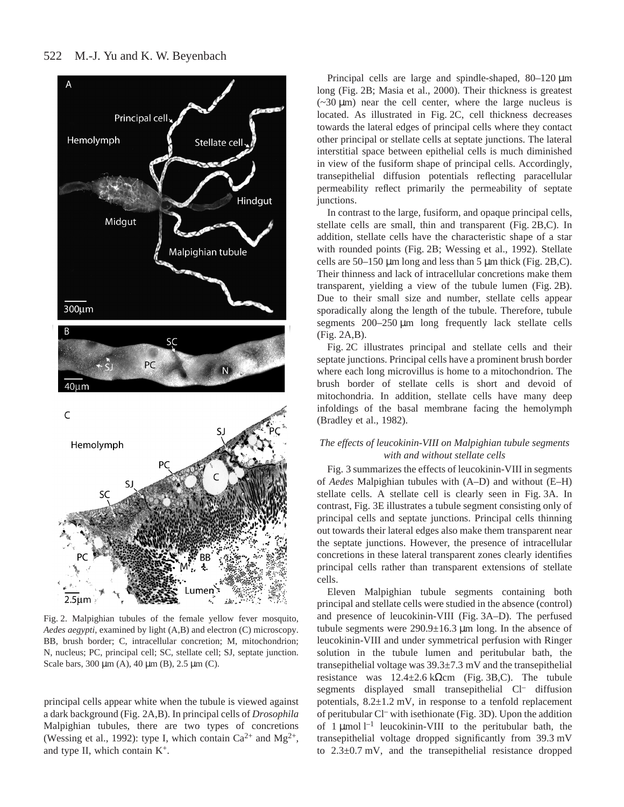# 522 M.-J. Yu and K. W. Beyenbach



Fig. 2. Malpighian tubules of the female yellow fever mosquito, *Aedes aegypti*, examined by light (A,B) and electron (C) microscopy. BB, brush border; C, intracellular concretion; M, mitochondrion; N, nucleus; PC, principal cell; SC, stellate cell; SJ, septate junction. Scale bars,  $300 \mu m$  (A),  $40 \mu m$  (B),  $2.5 \mu m$  (C).

principal cells appear white when the tubule is viewed against a dark background (Fig. 2A,B). In principal cells of *Drosophila* Malpighian tubules, there are two types of concretions (Wessing et al., 1992): type I, which contain  $Ca^{2+}$  and  $Mg^{2+}$ , and type II, which contain K+.

Principal cells are large and spindle-shaped,  $80-120 \mu m$ long (Fig. 2B; Masia et al., 2000). Their thickness is greatest  $(-30 \mu m)$  near the cell center, where the large nucleus is located. As illustrated in Fig. 2C, cell thickness decreases towards the lateral edges of principal cells where they contact other principal or stellate cells at septate junctions. The lateral interstitial space between epithelial cells is much diminished in view of the fusiform shape of principal cells. Accordingly, transepithelial diffusion potentials reflecting paracellular permeability reflect primarily the permeability of septate junctions.

In contrast to the large, fusiform, and opaque principal cells, stellate cells are small, thin and transparent (Fig. 2B,C). In addition, stellate cells have the characteristic shape of a star with rounded points (Fig. 2B; Wessing et al., 1992). Stellate cells are  $50-150 \mu m$  long and less than 5  $\mu m$  thick (Fig. 2B,C). Their thinness and lack of intracellular concretions make them transparent, yielding a view of the tubule lumen (Fig. 2B). Due to their small size and number, stellate cells appear sporadically along the length of the tubule. Therefore, tubule segments  $200-250 \mu m$  long frequently lack stellate cells  $(Fig. 2A,B).$ 

Fig. 2C illustrates principal and stellate cells and their septate junctions. Principal cells have a prominent brush border where each long microvillus is home to a mitochondrion. The brush border of stellate cells is short and devoid of mitochondria. In addition, stellate cells have many deep infoldings of the basal membrane facing the hemolymph (Bradley et al., 1982).

# *The effects of leucokinin-VIII on Malpighian tubule segments with and without stellate cells*

Fig. 3 summarizes the effects of leucokinin-VIII in segments of *Aedes* Malpighian tubules with (A–D) and without (E–H) stellate cells. A stellate cell is clearly seen in Fig. 3A. In contrast, Fig. 3E illustrates a tubule segment consisting only of principal cells and septate junctions. Principal cells thinning out towards their lateral edges also make them transparent near the septate junctions. However, the presence of intracellular concretions in these lateral transparent zones clearly identifies principal cells rather than transparent extensions of stellate cells.

Eleven Malpighian tubule segments containing both principal and stellate cells were studied in the absence (control) and presence of leucokinin-VIII (Fig. 3A–D). The perfused tubule segments were  $290.9\pm16.3~\mu m$  long. In the absence of leucokinin-VIII and under symmetrical perfusion with Ringer solution in the tubule lumen and peritubular bath, the transepithelial voltage was  $39.3 \pm 7.3$  mV and the transepithelial resistance was  $12.4 \pm 2.6$  kΩcm (Fig. 3B,C). The tubule segments displayed small transepithelial Cl– diffusion potentials,  $8.2 \pm 1.2$  mV, in response to a tenfold replacement of peritubular Cl– with isethionate (Fig.·3D). Upon the addition of  $1 \mu$ mol<sup>-1</sup> leucokinin-VIII to the peritubular bath, the transepithelial voltage dropped significantly from 39.3 mV to  $2.3\pm0.7$  mV, and the transepithelial resistance dropped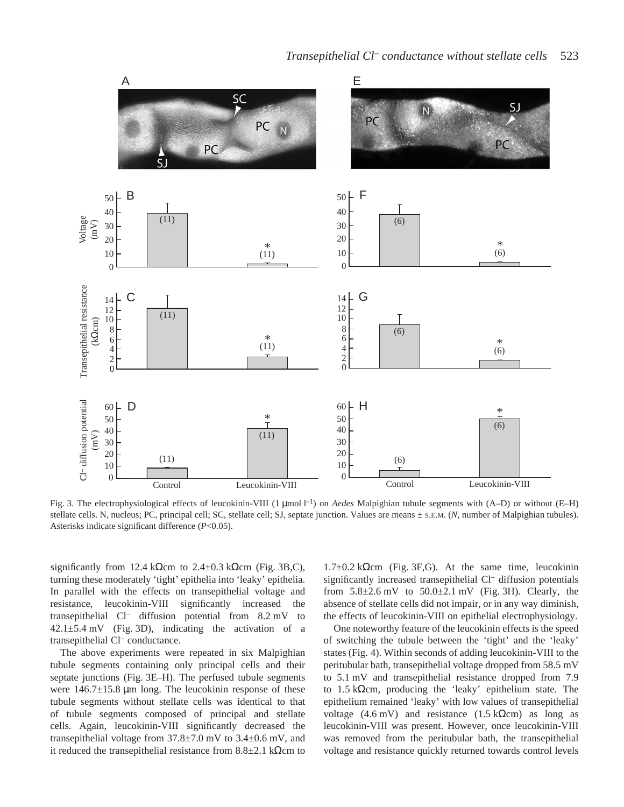

Fig. 3. The electrophysiological effects of leucokinin-VIII (1 µmol l<sup>-1</sup>) on *Aedes* Malpighian tubule segments with (A–D) or without (E–H) stellate cells. N, nucleus; PC, principal cell; SC, stellate cell; SJ, septate junction. Values are means ± S.E.M. (*N*, number of Malpighian tubules). Asterisks indicate significant difference (*P*<0.05).

significantly from 12.4 kΩcm to  $2.4\pm0.3$  kΩcm (Fig. 3B,C), turning these moderately 'tight' epithelia into 'leaky' epithelia. In parallel with the effects on transepithelial voltage and resistance, leucokinin-VIII significantly increased the transepithelial  $Cl^-$  diffusion potential from 8.2 mV to  $42.1\pm5.4$  mV (Fig. 3D), indicating the activation of a transepithelial Cl– conductance.

The above experiments were repeated in six Malpighian tubule segments containing only principal cells and their septate junctions (Fig. 3E–H). The perfused tubule segments were  $146.7\pm15.8$  µm long. The leucokinin response of these tubule segments without stellate cells was identical to that of tubule segments composed of principal and stellate cells. Again, leucokinin-VIII significantly decreased the transepithelial voltage from  $37.8 \pm 7.0$  mV to  $3.4 \pm 0.6$  mV, and it reduced the transepithelial resistance from  $8.8\pm2.1$  kΩcm to

 $1.7\pm0.2$  kΩcm (Fig. 3F,G). At the same time, leucokinin significantly increased transepithelial Cl– diffusion potentials from  $5.8\pm2.6$  mV to  $50.0\pm2.1$  mV (Fig. 3H). Clearly, the absence of stellate cells did not impair, or in any way diminish, the effects of leucokinin-VIII on epithelial electrophysiology.

One noteworthy feature of the leucokinin effects is the speed of switching the tubule between the 'tight' and the 'leaky' states (Fig. 4). Within seconds of adding leucokinin-VIII to the peritubular bath, transepithelial voltage dropped from 58.5 mV to 5.1 mV and transepithelial resistance dropped from 7.9 to 1.5 k $\Omega$ cm, producing the 'leaky' epithelium state. The epithelium remained 'leaky' with low values of transepithelial voltage (4.6 mV) and resistance (1.5 kΩcm) as long as leucokinin-VIII was present. However, once leucokinin-VIII was removed from the peritubular bath, the transepithelial voltage and resistance quickly returned towards control levels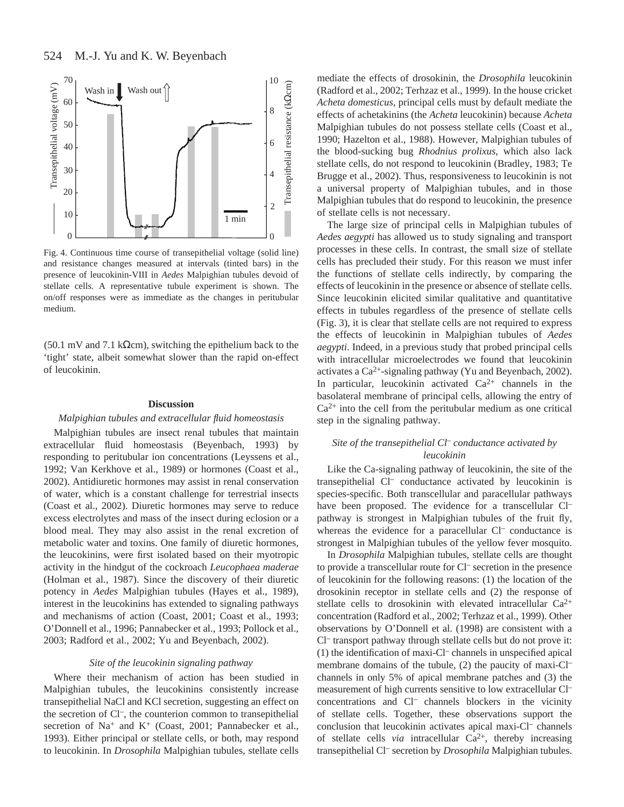

Fig. 4. Continuous time course of transepithelial voltage (solid line) and resistance changes measured at intervals (tinted bars) in the presence of leucokinin-VIII in *Aedes* Malpighian tubules devoid of stellate cells. A representative tubule experiment is shown. The on/off responses were as immediate as the changes in peritubular medium.

(50.1 mV and 7.1 kΩcm), switching the epithelium back to the 'tight' state, albeit somewhat slower than the rapid on-effect of leucokinin.

## **Discussion**

## *Malpighian tubules and extracellular fluid homeostasis*

Malpighian tubules are insect renal tubules that maintain extracellular fluid homeostasis (Beyenbach, 1993) by responding to peritubular ion concentrations (Leyssens et al., 1992; Van Kerkhove et al., 1989) or hormones (Coast et al., 2002). Antidiuretic hormones may assist in renal conservation of water, which is a constant challenge for terrestrial insects (Coast et al., 2002). Diuretic hormones may serve to reduce excess electrolytes and mass of the insect during eclosion or a blood meal. They may also assist in the renal excretion of metabolic water and toxins. One family of diuretic hormones, the leucokinins, were first isolated based on their myotropic activity in the hindgut of the cockroach *Leucophaea maderae* (Holman et al., 1987). Since the discovery of their diuretic potency in *Aedes* Malpighian tubules (Hayes et al., 1989), interest in the leucokinins has extended to signaling pathways and mechanisms of action (Coast, 2001; Coast et al., 1993; O'Donnell et al., 1996; Pannabecker et al., 1993; Pollock et al., 2003; Radford et al., 2002; Yu and Beyenbach, 2002).

### *Site of the leucokinin signaling pathway*

Where their mechanism of action has been studied in Malpighian tubules, the leucokinins consistently increase transepithelial NaCl and KCl secretion, suggesting an effect on the secretion of Cl–, the counterion common to transepithelial secretion of  $Na^+$  and  $K^+$  (Coast, 2001; Pannabecker et al., 1993). Either principal or stellate cells, or both, may respond to leucokinin. In *Drosophila* Malpighian tubules, stellate cells

mediate the effects of drosokinin, the *Drosophila* leucokinin (Radford et al., 2002; Terhzaz et al., 1999). In the house cricket *Acheta domesticus*, principal cells must by default mediate the effects of achetakinins (the *Acheta* leucokinin) because *Acheta* Malpighian tubules do not possess stellate cells (Coast et al., 1990; Hazelton et al., 1988). However, Malpighian tubules of the blood-sucking bug *Rhodnius prolixus*, which also lack stellate cells, do not respond to leucokinin (Bradley, 1983; Te Brugge et al., 2002). Thus, responsiveness to leucokinin is not a universal property of Malpighian tubules, and in those Malpighian tubules that do respond to leucokinin, the presence of stellate cells is not necessary.

The large size of principal cells in Malpighian tubules of *Aedes aegypti* has allowed us to study signaling and transport processes in these cells. In contrast, the small size of stellate cells has precluded their study. For this reason we must infer the functions of stellate cells indirectly, by comparing the effects of leucokinin in the presence or absence of stellate cells. Since leucokinin elicited similar qualitative and quantitative effects in tubules regardless of the presence of stellate cells (Fig. 3), it is clear that stellate cells are not required to express the effects of leucokinin in Malpighian tubules of *Aedes aegypti*. Indeed, in a previous study that probed principal cells with intracellular microelectrodes we found that leucokinin activates a Ca2+-signaling pathway (Yu and Beyenbach, 2002). In particular, leucokinin activated  $Ca^{2+}$  channels in the basolateral membrane of principal cells, allowing the entry of  $Ca<sup>2+</sup>$  into the cell from the peritubular medium as one critical step in the signaling pathway.

## *Site of the transepithelial Cl– conductance activated by leucokinin*

Like the Ca-signaling pathway of leucokinin, the site of the transepithelial Cl– conductance activated by leucokinin is species-specific. Both transcellular and paracellular pathways have been proposed. The evidence for a transcellular Cl<sup>-</sup> pathway is strongest in Malpighian tubules of the fruit fly, whereas the evidence for a paracellular Cl<sup>-</sup> conductance is strongest in Malpighian tubules of the yellow fever mosquito.

In *Drosophila* Malpighian tubules, stellate cells are thought to provide a transcellular route for Cl– secretion in the presence of leucokinin for the following reasons: (1) the location of the drosokinin receptor in stellate cells and (2) the response of stellate cells to drosokinin with elevated intracellular  $Ca^{2+}$ concentration (Radford et al., 2002; Terhzaz et al., 1999). Other observations by O'Donnell et al. (1998) are consistent with a Cl– transport pathway through stellate cells but do not prove it: (1) the identification of maxi-Cl– channels in unspecified apical membrane domains of the tubule, (2) the paucity of maxi-Cl– channels in only 5% of apical membrane patches and (3) the measurement of high currents sensitive to low extracellular Cl– concentrations and Cl– channels blockers in the vicinity of stellate cells. Together, these observations support the conclusion that leucokinin activates apical maxi-Cl– channels of stellate cells *via* intracellular  $Ca^{2+}$ , thereby increasing transepithelial Cl– secretion by *Drosophila* Malpighian tubules.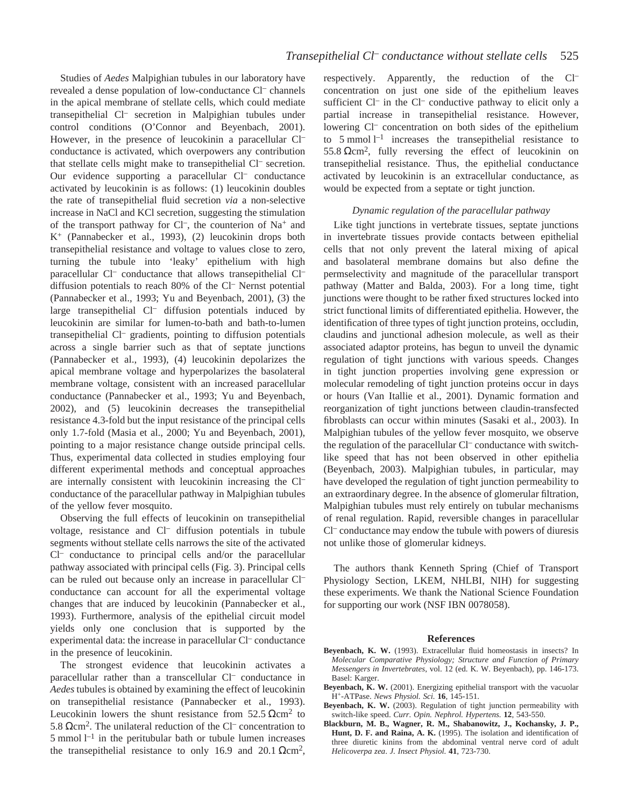Studies of *Aedes* Malpighian tubules in our laboratory have revealed a dense population of low-conductance Cl– channels in the apical membrane of stellate cells, which could mediate transepithelial Cl– secretion in Malpighian tubules under control conditions (O'Connor and Beyenbach, 2001). However, in the presence of leucokinin a paracellular Cl– conductance is activated, which overpowers any contribution that stellate cells might make to transepithelial Cl– secretion. Our evidence supporting a paracellular Cl– conductance activated by leucokinin is as follows: (1) leucokinin doubles the rate of transepithelial fluid secretion *via* a non-selective increase in NaCl and KCl secretion, suggesting the stimulation of the transport pathway for  $Cl^-$ , the counterion of Na<sup>+</sup> and K+ (Pannabecker et al., 1993), (2) leucokinin drops both transepithelial resistance and voltage to values close to zero, turning the tubule into 'leaky' epithelium with high paracellular Cl<sup>-</sup> conductance that allows transepithelial Cl<sup>-</sup> diffusion potentials to reach 80% of the Cl– Nernst potential (Pannabecker et al., 1993; Yu and Beyenbach, 2001), (3) the large transepithelial Cl<sup>-</sup> diffusion potentials induced by leucokinin are similar for lumen-to-bath and bath-to-lumen transepithelial Cl– gradients, pointing to diffusion potentials across a single barrier such as that of septate junctions (Pannabecker et al., 1993), (4) leucokinin depolarizes the apical membrane voltage and hyperpolarizes the basolateral membrane voltage, consistent with an increased paracellular conductance (Pannabecker et al., 1993; Yu and Beyenbach, 2002), and (5) leucokinin decreases the transepithelial resistance 4.3-fold but the input resistance of the principal cells only 1.7-fold (Masia et al., 2000; Yu and Beyenbach, 2001), pointing to a major resistance change outside principal cells. Thus, experimental data collected in studies employing four different experimental methods and conceptual approaches are internally consistent with leucokinin increasing the Cl– conductance of the paracellular pathway in Malpighian tubules of the yellow fever mosquito.

Observing the full effects of leucokinin on transepithelial voltage, resistance and Cl– diffusion potentials in tubule segments without stellate cells narrows the site of the activated Cl– conductance to principal cells and/or the paracellular pathway associated with principal cells (Fig. 3). Principal cells can be ruled out because only an increase in paracellular Cl– conductance can account for all the experimental voltage changes that are induced by leucokinin (Pannabecker et al., 1993). Furthermore, analysis of the epithelial circuit model yields only one conclusion that is supported by the experimental data: the increase in paracellular Cl– conductance in the presence of leucokinin.

The strongest evidence that leucokinin activates a paracellular rather than a transcellular Cl– conductance in *Aedes* tubules is obtained by examining the effect of leucokinin on transepithelial resistance (Pannabecker et al., 1993). Leucokinin lowers the shunt resistance from  $52.5 \Omega \text{cm}^2$  to 5.8  $Ωcm²$ . The unilateral reduction of the Cl<sup>–</sup> concentration to 5 mmol  $l<sup>-1</sup>$  in the peritubular bath or tubule lumen increases the transepithelial resistance to only 16.9 and 20.1  $\Omega$ cm<sup>2</sup>,

respectively. Apparently, the reduction of the Cl– concentration on just one side of the epithelium leaves sufficient Cl<sup>-</sup> in the Cl<sup>-</sup> conductive pathway to elicit only a partial increase in transepithelial resistance. However, lowering Cl– concentration on both sides of the epithelium to 5 mmol<sup>1-1</sup> increases the transepithelial resistance to 55.8  $Ωcm²$ , fully reversing the effect of leucokinin on transepithelial resistance. Thus, the epithelial conductance activated by leucokinin is an extracellular conductance, as would be expected from a septate or tight junction.

## *Dynamic regulation of the paracellular pathway*

Like tight junctions in vertebrate tissues, septate junctions in invertebrate tissues provide contacts between epithelial cells that not only prevent the lateral mixing of apical and basolateral membrane domains but also define the permselectivity and magnitude of the paracellular transport pathway (Matter and Balda, 2003). For a long time, tight junctions were thought to be rather fixed structures locked into strict functional limits of differentiated epithelia. However, the identification of three types of tight junction proteins, occludin, claudins and junctional adhesion molecule, as well as their associated adaptor proteins, has begun to unveil the dynamic regulation of tight junctions with various speeds. Changes in tight junction properties involving gene expression or molecular remodeling of tight junction proteins occur in days or hours (Van Itallie et al., 2001). Dynamic formation and reorganization of tight junctions between claudin-transfected fibroblasts can occur within minutes (Sasaki et al., 2003). In Malpighian tubules of the yellow fever mosquito, we observe the regulation of the paracellular Cl– conductance with switchlike speed that has not been observed in other epithelia (Beyenbach, 2003). Malpighian tubules, in particular, may have developed the regulation of tight junction permeability to an extraordinary degree. In the absence of glomerular filtration, Malpighian tubules must rely entirely on tubular mechanisms of renal regulation. Rapid, reversible changes in paracellular Cl– conductance may endow the tubule with powers of diuresis not unlike those of glomerular kidneys.

The authors thank Kenneth Spring (Chief of Transport Physiology Section, LKEM, NHLBI, NIH) for suggesting these experiments. We thank the National Science Foundation for supporting our work (NSF IBN 0078058).

#### **References**

- **Beyenbach, K. W.** (1993). Extracellular fluid homeostasis in insects? In *Molecular Comparative Physiology; Structure and Function of Primary Messengers in Invertebrates*, vol. 12 (ed. K. W. Beyenbach), pp. 146-173. Basel: Karger.
- **Beyenbach, K. W.** (2001). Energizing epithelial transport with the vacuolar H+-ATPase. *News Physiol. Sci.* **16**, 145-151.
- **Beyenbach, K. W.** (2003). Regulation of tight junction permeability with switch-like speed. *Curr. Opin. Nephrol. Hypertens.* **12**, 543-550.
- **Blackburn, M. B., Wagner, R. M., Shabanowitz, J., Kochansky, J. P., Hunt, D. F. and Raina, A. K.** (1995). The isolation and identification of three diuretic kinins from the abdominal ventral nerve cord of adult *Helicoverpa zea*. *J. Insect Physiol.* **41**, 723-730.